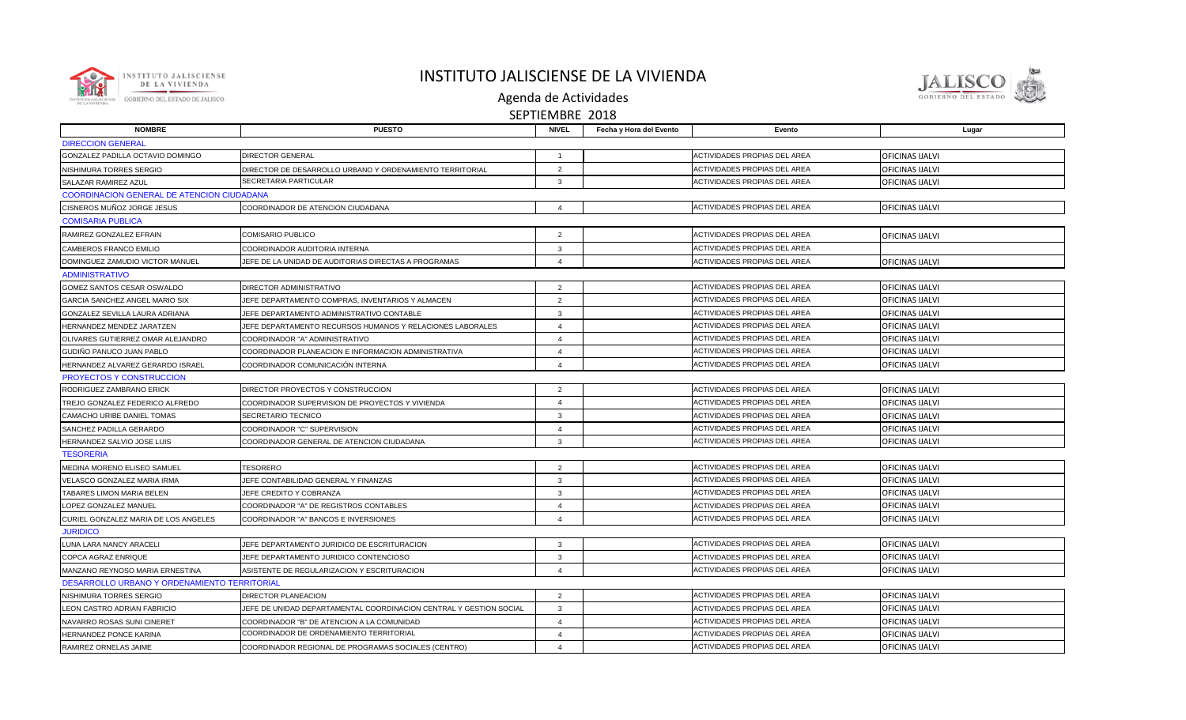

## INSTITUTO JALISCIENSE DE LA VIVIENDA



Agenda de Actividades SEPTIEMBRE 2018

|                                                   |                                                                    | .                      |                         |                                     |                 |
|---------------------------------------------------|--------------------------------------------------------------------|------------------------|-------------------------|-------------------------------------|-----------------|
| <b>NOMBRE</b>                                     | <b>PUESTO</b>                                                      | <b>NIVEL</b>           | Fecha y Hora del Evento | Evento                              | Lugar           |
| <b>DIRECCION GENERAL</b>                          |                                                                    |                        |                         |                                     |                 |
| GONZALEZ PADILLA OCTAVIO DOMINGO                  | <b>DIRECTOR GENERAL</b>                                            | $\overline{1}$         |                         | <b>ACTIVIDADES PROPIAS DEL AREA</b> | OFICINAS IJALVI |
| NISHIMURA TORRES SERGIO                           | DIRECTOR DE DESARROLLO URBANO Y ORDENAMIENTO TERRITORIAL           | 2                      |                         | ACTIVIDADES PROPIAS DEL AREA        | OFICINAS IJALVI |
| SALAZAR RAMIREZ AZUL                              | SECRETARIA PARTICULAR                                              | 3                      |                         | <b>ACTIVIDADES PROPIAS DEL AREA</b> | OFICINAS IJALVI |
| <b>COORDINACION GENERAL DE ATENCION CIUDADANA</b> |                                                                    |                        |                         |                                     |                 |
| CISNEROS MUÑOZ JORGE JESUS                        | COORDINADOR DE ATENCION CIUDADANA                                  | $\overline{4}$         |                         | <b>ACTIVIDADES PROPIAS DEL AREA</b> | OFICINAS IJALVI |
| <b>COMISARIA PUBLICA</b>                          |                                                                    |                        |                         |                                     |                 |
| RAMIREZ GONZALEZ EFRAIN                           | COMISARIO PUBLICO                                                  | $\overline{2}$         |                         | <b>ACTIVIDADES PROPIAS DEL AREA</b> | OFICINAS IJALVI |
| CAMBEROS FRANCO EMILIO                            | COORDINADOR AUDITORIA INTERNA                                      | $\mathbf{3}$           |                         | <b>ACTIVIDADES PROPIAS DEL AREA</b> |                 |
| DOMINGUEZ ZAMUDIO VICTOR MANUEL                   | JEFE DE LA UNIDAD DE AUDITORIAS DIRECTAS A PROGRAMAS               | $\overline{4}$         |                         | ACTIVIDADES PROPIAS DEL AREA        | OFICINAS IJALVI |
| <b>ADMINISTRATIVO</b>                             |                                                                    |                        |                         |                                     |                 |
| GOMEZ SANTOS CESAR OSWALDO                        | DIRECTOR ADMINISTRATIVO                                            | 2                      |                         | <b>ACTIVIDADES PROPIAS DEL AREA</b> | OFICINAS IJALVI |
| GARCIA SANCHEZ ANGEL MARIO SIX                    | JEFE DEPARTAMENTO COMPRAS, INVENTARIOS Y ALMACEN                   | 2                      |                         | ACTIVIDADES PROPIAS DEL AREA        | OFICINAS IJALVI |
| GONZALEZ SEVILLA LAURA ADRIANA                    | JEFE DEPARTAMENTO ADMINISTRATIVO CONTABLE                          | $\mathbf{3}$           |                         | ACTIVIDADES PROPIAS DEL AREA        | OFICINAS IJALVI |
| HERNANDEZ MENDEZ JARATZEN                         | JEFE DEPARTAMENTO RECURSOS HUMANOS Y RELACIONES LABORALES          | $\overline{4}$         |                         | ACTIVIDADES PROPIAS DEL AREA        | OFICINAS IJALVI |
| OLIVARES GUTIERREZ OMAR ALEJANDRO                 | COORDINADOR "A" ADMINISTRATIVO                                     | $\overline{4}$         |                         | <b>ACTIVIDADES PROPIAS DEL AREA</b> | OFICINAS IJALVI |
| GUDIÑO PANUCO JUAN PABLO                          | COORDINADOR PLANEACION E INFORMACION ADMINISTRATIVA                | $\overline{4}$         |                         | ACTIVIDADES PROPIAS DEL AREA        | OFICINAS IJALVI |
| HERNANDEZ ALVAREZ GERARDO ISRAEL                  | COORDINADOR COMUNICACIÓN INTERNA                                   | $\overline{4}$         |                         | ACTIVIDADES PROPIAS DEL AREA        | OFICINAS IJALVI |
| PROYECTOS Y CONSTRUCCION                          |                                                                    |                        |                         |                                     |                 |
| RODRIGUEZ ZAMBRANO ERICK                          | DIRECTOR PROYECTOS Y CONSTRUCCION                                  | 2                      |                         | ACTIVIDADES PROPIAS DEL AREA        | OFICINAS IJALVI |
| TREJO GONZALEZ FEDERICO ALFREDO                   | COORDINADOR SUPERVISION DE PROYECTOS Y VIVIENDA                    | $\overline{4}$         |                         | <b>ACTIVIDADES PROPIAS DEL AREA</b> | OFICINAS IJALVI |
| CAMACHO URIBE DANIEL TOMAS                        | SECRETARIO TECNICO                                                 | $\overline{3}$         |                         | ACTIVIDADES PROPIAS DEL AREA        | OFICINAS IJALVI |
| SANCHEZ PADILLA GERARDO                           | COORDINADOR "C" SUPERVISION                                        | $\overline{4}$         |                         | <b>ACTIVIDADES PROPIAS DEL AREA</b> | OFICINAS IJALVI |
| HERNANDEZ SALVIO JOSE LUIS                        | COORDINADOR GENERAL DE ATENCION CIUDADANA                          | $\mathbf{3}$           |                         | <b>ACTIVIDADES PROPIAS DEL AREA</b> | OFICINAS IJALVI |
| <b>TESORERIA</b>                                  |                                                                    |                        |                         |                                     |                 |
| MEDINA MORENO ELISEO SAMUEL                       | <b>TESORERO</b>                                                    | 2                      |                         | <b>ACTIVIDADES PROPIAS DEL AREA</b> | OFICINAS IJALVI |
| VELASCO GONZALEZ MARIA IRMA                       | JEFE CONTABILIDAD GENERAL Y FINANZAS                               | $\mathbf{3}$           |                         | ACTIVIDADES PROPIAS DEL AREA        | OFICINAS IJALVI |
| TABARES LIMON MARIA BELEN                         | JEFE CREDITO Y COBRANZA                                            | $\mathbf{3}$           |                         | <b>ACTIVIDADES PROPIAS DEL AREA</b> | OFICINAS IJALVI |
| LOPEZ GONZALEZ MANUEL                             | COORDINADOR "A" DE REGISTROS CONTABLES                             | $\overline{4}$         |                         | <b>ACTIVIDADES PROPIAS DEL AREA</b> | OFICINAS IJALVI |
| CURIEL GONZALEZ MARIA DE LOS ANGELES              | COORDINADOR "A" BANCOS E INVERSIONES                               | $\overline{4}$         |                         | ACTIVIDADES PROPIAS DEL AREA        | OFICINAS IJALVI |
| <b>JURIDICO</b>                                   |                                                                    |                        |                         |                                     |                 |
| LUNA LARA NANCY ARACELI                           | JEFE DEPARTAMENTO JURIDICO DE ESCRITURACION                        | $\mathbf{3}$           |                         | <b>ACTIVIDADES PROPIAS DEL AREA</b> | OFICINAS IJALVI |
| COPCA AGRAZ ENRIQUE                               | JEFE DEPARTAMENTO JURIDICO CONTENCIOSO                             | $\mathbf{3}$           |                         | <b>ACTIVIDADES PROPIAS DEL AREA</b> | OFICINAS IJALVI |
| MANZANO REYNOSO MARIA ERNESTINA                   | ASISTENTE DE REGULARIZACION Y ESCRITURACION                        | $\overline{4}$         |                         | ACTIVIDADES PROPIAS DEL AREA        | OFICINAS IJALVI |
| DESARROLLO URBANO Y ORDENAMIENTO TERRITORIAL      |                                                                    |                        |                         |                                     |                 |
| NISHIMURA TORRES SERGIO                           | <b>DIRECTOR PLANEACION</b>                                         | 2                      |                         | <b>ACTIVIDADES PROPIAS DEL AREA</b> | OFICINAS IJALVI |
| LEON CASTRO ADRIAN FABRICIO                       | JEFE DE UNIDAD DEPARTAMENTAL COORDINACION CENTRAL Y GESTION SOCIAL | $\mathbf{3}$           |                         | <b>ACTIVIDADES PROPIAS DEL AREA</b> | OFICINAS IJALVI |
| NAVARRO ROSAS SUNI CINERET                        | COORDINADOR "B" DE ATENCION A LA COMUNIDAD                         | $\overline{4}$         |                         | ACTIVIDADES PROPIAS DEL AREA        | OFICINAS IJALVI |
| HERNANDEZ PONCE KARINA                            | COORDINADOR DE ORDENAMIENTO TERRITORIAL                            | $\overline{4}$         |                         | <b>ACTIVIDADES PROPIAS DEL AREA</b> | OFICINAS IJALVI |
| RAMIREZ ORNELAS JAIME                             | COORDINADOR REGIONAL DE PROGRAMAS SOCIALES (CENTRO)                | $\boldsymbol{\Lambda}$ |                         | ACTIVIDADES PROPIAS DEL AREA        | OFICINAS IJALVI |